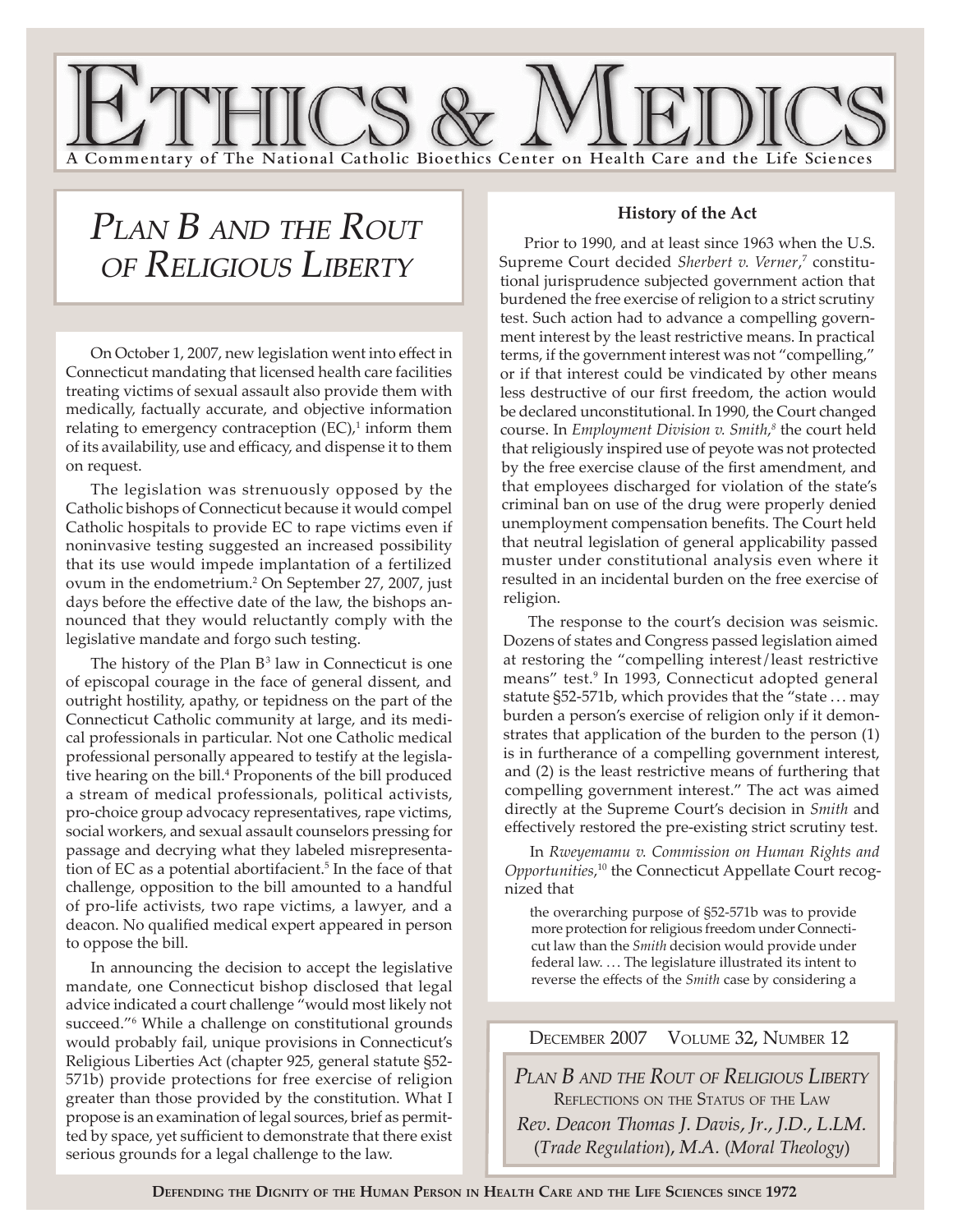

# *PLAN B AND THE ROUT OF RELIGIOUS LIBERTY*

 On October 1, 2007, new legislation went into effect in Connecticut mandating that licensed health care facilities treating victims of sexual assault also provide them with medically, factually accurate, and objective information relating to emergency contraception  $(EC)$ ,<sup>1</sup> inform them of its availability, use and efficacy, and dispense it to them on request.

The legislation was strenuously opposed by the Catholic bishops of Connecticut because it would compel Catholic hospitals to provide EC to rape victims even if noninvasive testing suggested an increased possibility that its use would impede implantation of a fertilized ovum in the endometrium.2 On September 27, 2007, just days before the effective date of the law, the bishops announced that they would reluctantly comply with the legislative mandate and forgo such testing.

The history of the Plan  $B^3$  law in Connecticut is one of episcopal courage in the face of general dissent, and outright hostility, apathy, or tepidness on the part of the Connecticut Catholic community at large, and its medical professionals in particular. Not one Catholic medical professional personally appeared to testify at the legislative hearing on the bill.<sup>4</sup> Proponents of the bill produced a stream of medical professionals, political activists, pro-choice group advocacy representatives, rape victims, social workers, and sexual assault counselors pressing for passage and decrying what they labeled misrepresentation of EC as a potential abortifacient.<sup>5</sup> In the face of that challenge, opposition to the bill amounted to a handful of pro-life activists, two rape victims, a lawyer, and a deacon. No qualified medical expert appeared in person to oppose the bill.

In announcing the decision to accept the legislative mandate, one Connecticut bishop disclosed that legal advice indicated a court challenge "would most likely not succeed."6 While a challenge on constitutional grounds would probably fail, unique provisions in Connecticut's Religious Liberties Act (chapter 925, general statute §52- 571b) provide protections for free exercise of religion greater than those provided by the constitution. What I propose is an examination of legal sources, brief as permitted by space, yet sufficient to demonstrate that there exist serious grounds for a legal challenge to the law.

#### **History of the Act**

Prior to 1990, and at least since 1963 when the U.S. Supreme Court decided Sherbert v. Verner,<sup>7</sup> constitutional jurisprudence subjected government action that burdened the free exercise of religion to a strict scrutiny test. Such action had to advance a compelling government interest by the least restrictive means. In practical terms, if the government interest was not "compelling," or if that interest could be vindicated by other means less destructive of our first freedom, the action would be declared unconstitutional. In 1990, the Court changed course. In *Employment Division v. Smith*, *8* the court held that religiously inspired use of peyote was not protected by the free exercise clause of the first amendment, and that employees discharged for violation of the state's criminal ban on use of the drug were properly denied unemployment compensation benefits. The Court held that neutral legislation of general applicability passed muster under constitutional analysis even where it resulted in an incidental burden on the free exercise of religion.

The response to the court's decision was seismic. Dozens of states and Congress passed legislation aimed at restoring the "compelling interest/least restrictive means" test.<sup>9</sup> In 1993, Connecticut adopted general statute §52-571b, which provides that the "state ... may burden a person's exercise of religion only if it demonstrates that application of the burden to the person (1) is in furtherance of a compelling government interest, and (2) is the least restrictive means of furthering that compelling government interest." The act was aimed directly at the Supreme Court's decision in *Smith* and effectively restored the pre-existing strict scrutiny test.

In *Rweyemamu v. Commission on Human Rights and Opportunities*, 10 the Connecticut Appellate Court recognized that

the overarching purpose of §52-571b was to provide more protection for religious freedom under Connecticut law than the *Smith* decision would provide under federal law. ... The legislature illustrated its intent to reverse the effects of the *Smith* case by considering a

## DECEMBER 2007 VOLUME 32, NUMBER 12

*PLAN B AND THE ROUT OF RELIGIOUS LIBERTY* REFLECTIONS ON THE STATUS OF THE LAW *Rev. Deacon Thomas J. Davis, Jr., J.D., L.LM.* (*Trade Regulation*), *M.A.* (*Moral Theology*)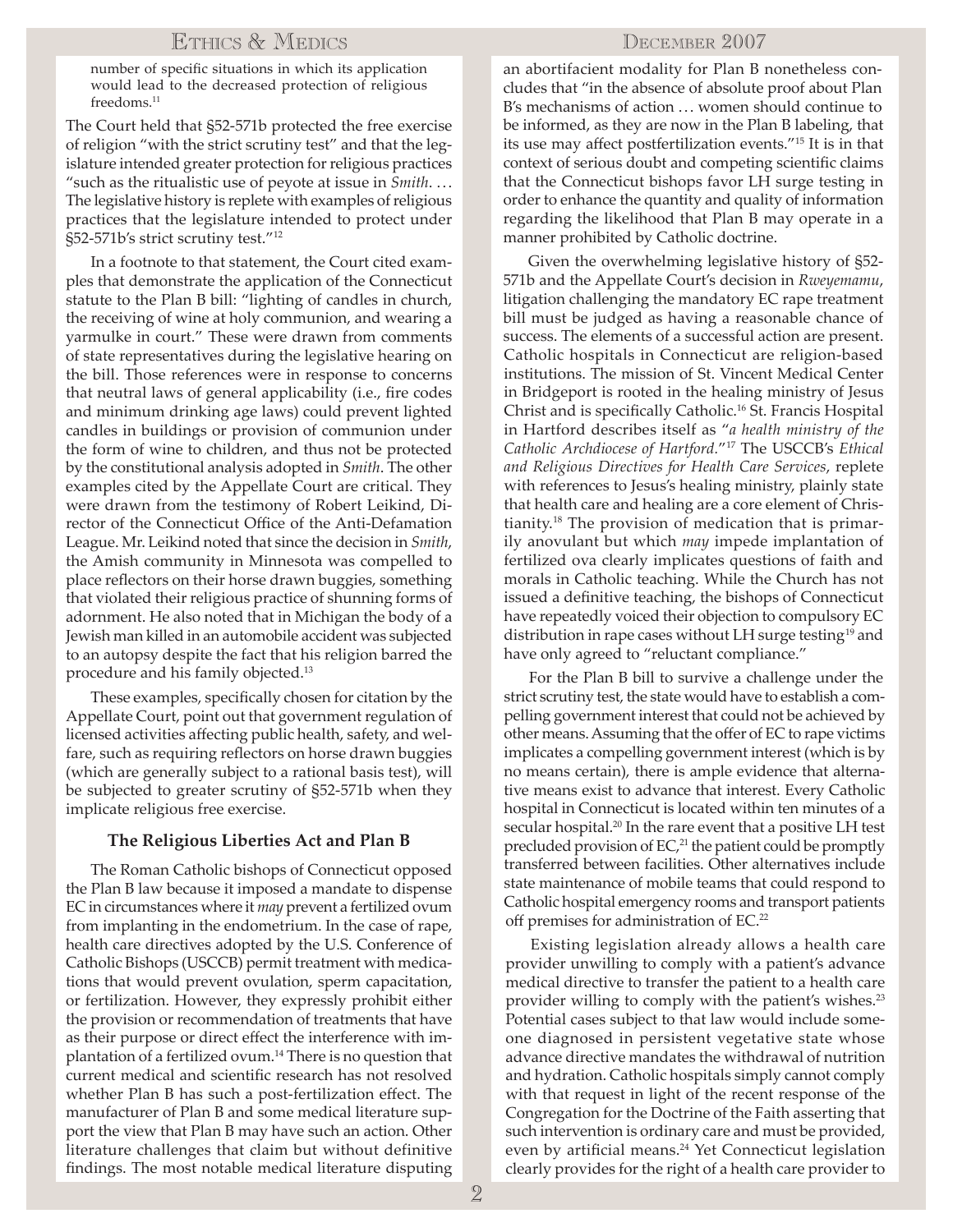## ETHICS & MEDICS

number of specific situations in which its application would lead to the decreased protection of religious freedoms.<sup>11</sup>

The Court held that §52-571b protected the free exercise of religion "with the strict scrutiny test" and that the legislature intended greater protection for religious practices "such as the ritualistic use of peyote at issue in *Smith*. .. . The legislative history is replete with examples of religious practices that the legislature intended to protect under §52-571b's strict scrutiny test."12

In a footnote to that statement, the Court cited examples that demonstrate the application of the Connecticut statute to the Plan B bill: "lighting of candles in church, the receiving of wine at holy communion, and wearing a yarmulke in court." These were drawn from comments of state representatives during the legislative hearing on the bill. Those references were in response to concerns that neutral laws of general applicability (i.e., fire codes and minimum drinking age laws) could prevent lighted candles in buildings or provision of communion under the form of wine to children, and thus not be protected by the constitutional analysis adopted in *Smith*. The other examples cited by the Appellate Court are critical. They were drawn from the testimony of Robert Leikind, Director of the Connecticut Office of the Anti-Defamation League. Mr. Leikind noted that since the decision in *Smith*, the Amish community in Minnesota was compelled to place reflectors on their horse drawn buggies, something that violated their religious practice of shunning forms of adornment. He also noted that in Michigan the body of a Jewish man killed in an automobile accident was subjected to an autopsy despite the fact that his religion barred the procedure and his family objected.13

These examples, specifically chosen for citation by the Appellate Court, point out that government regulation of licensed activities affecting public health, safety, and welfare, such as requiring reflectors on horse drawn buggies (which are generally subject to a rational basis test), will be subjected to greater scrutiny of §52-571b when they implicate religious free exercise.

#### **The Religious Liberties Act and Plan B**

The Roman Catholic bishops of Connecticut opposed the Plan B law because it imposed a mandate to dispense EC in circumstances where it *may* prevent a fertilized ovum from implanting in the endometrium. In the case of rape, health care directives adopted by the U.S. Conference of Catholic Bishops (USCCB) permit treatment with medications that would prevent ovulation, sperm capacitation, or fertilization. However, they expressly prohibit either the provision or recommendation of treatments that have as their purpose or direct effect the interference with implantation of a fertilized ovum.14 There is no question that current medical and scientific research has not resolved whether Plan B has such a post-fertilization effect. The manufacturer of Plan B and some medical literature support the view that Plan B may have such an action. Other literature challenges that claim but without definitive findings. The most notable medical literature disputing

### DECEMBER 2007

an abortifacient modality for Plan B nonetheless concludes that "in the absence of absolute proof about Plan B's mechanisms of action ... women should continue to be informed, as they are now in the Plan B labeling, that its use may affect postfertilization events."15 It is in that context of serious doubt and competing scientific claims that the Connecticut bishops favor LH surge testing in order to enhance the quantity and quality of information regarding the likelihood that Plan B may operate in a manner prohibited by Catholic doctrine.

Given the overwhelming legislative history of §52- 571b and the Appellate Court's decision in *Rweyemamu*, litigation challenging the mandatory EC rape treatment bill must be judged as having a reasonable chance of success. The elements of a successful action are present. Catholic hospitals in Connecticut are religion-based institutions. The mission of St. Vincent Medical Center in Bridgeport is rooted in the healing ministry of Jesus Christ and is specifically Catholic.16 St. Francis Hospital in Hartford describes itself as "*a health ministry of the Catholic Archdiocese of Hartford.*"17 The USCCB's *Ethical and Religious Directives for Health Care Services*, replete with references to Jesus's healing ministry, plainly state that health care and healing are a core element of Christianity.18 The provision of medication that is primarily anovulant but which *may* impede implantation of fertilized ova clearly implicates questions of faith and morals in Catholic teaching. While the Church has not issued a definitive teaching, the bishops of Connecticut have repeatedly voiced their objection to compulsory EC distribution in rape cases without LH surge testing<sup>19</sup> and have only agreed to "reluctant compliance."

For the Plan B bill to survive a challenge under the strict scrutiny test, the state would have to establish a compelling government interest that could not be achieved by other means. Assuming that the offer of EC to rape victims implicates a compelling government interest (which is by no means certain), there is ample evidence that alternative means exist to advance that interest. Every Catholic hospital in Connecticut is located within ten minutes of a secular hospital.<sup>20</sup> In the rare event that a positive LH test precluded provision of EC,<sup>21</sup> the patient could be promptly transferred between facilities. Other alternatives include state maintenance of mobile teams that could respond to Catholic hospital emergency rooms and transport patients off premises for administration of EC.<sup>22</sup>

Existing legislation already allows a health care provider unwilling to comply with a patient's advance medical directive to transfer the patient to a health care provider willing to comply with the patient's wishes.<sup>23</sup> Potential cases subject to that law would include someone diagnosed in persistent vegetative state whose advance directive mandates the withdrawal of nutrition and hydration. Catholic hospitals simply cannot comply with that request in light of the recent response of the Congregation for the Doctrine of the Faith asserting that such intervention is ordinary care and must be provided, even by artificial means.<sup>24</sup> Yet Connecticut legislation clearly provides for the right of a health care provider to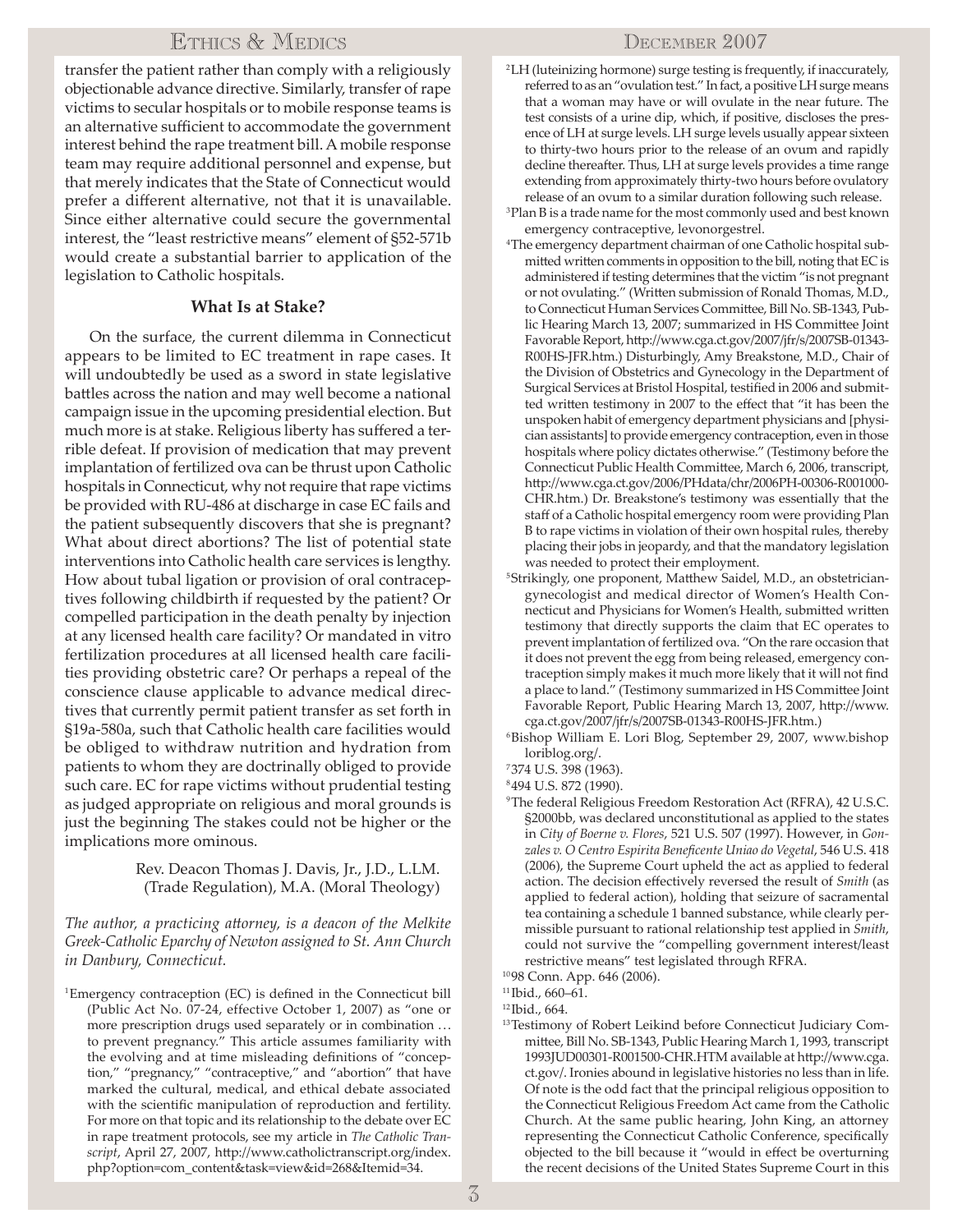## ETHICS & MEDICS

transfer the patient rather than comply with a religiously objectionable advance directive. Similarly, transfer of rape victims to secular hospitals or to mobile response teams is an alternative sufficient to accommodate the government interest behind the rape treatment bill. A mobile response team may require additional personnel and expense, but that merely indicates that the State of Connecticut would prefer a different alternative, not that it is unavailable. Since either alternative could secure the governmental interest, the "least restrictive means" element of §52-571b would create a substantial barrier to application of the legislation to Catholic hospitals.

### **What Is at Stake?**

On the surface, the current dilemma in Connecticut appears to be limited to EC treatment in rape cases. It will undoubtedly be used as a sword in state legislative battles across the nation and may well become a national campaign issue in the upcoming presidential election. But much more is at stake. Religious liberty has suffered a terrible defeat. If provision of medication that may prevent implantation of fertilized ova can be thrust upon Catholic hospitals in Connecticut, why not require that rape victims be provided with RU-486 at discharge in case EC fails and the patient subsequently discovers that she is pregnant? What about direct abortions? The list of potential state interventions into Catholic health care services is lengthy. How about tubal ligation or provision of oral contraceptives following childbirth if requested by the patient? Or compelled participation in the death penalty by injection at any licensed health care facility? Or mandated in vitro fertilization procedures at all licensed health care facilities providing obstetric care? Or perhaps a repeal of the conscience clause applicable to advance medical directives that currently permit patient transfer as set forth in §19a-580a, such that Catholic health care facilities would be obliged to withdraw nutrition and hydration from patients to whom they are doctrinally obliged to provide such care. EC for rape victims without prudential testing as judged appropriate on religious and moral grounds is just the beginning The stakes could not be higher or the implications more ominous.

#### Rev. Deacon Thomas J. Davis, Jr., J.D., L.LM. (Trade Regulation), M.A. (Moral Theology)

*The author, a practicing attorney, is a deacon of the Melkite Greek-Catholic Eparchy of Newton assigned to St. Ann Church in Danbury, Connecticut.*

<sup>1</sup>Emergency contraception (EC) is defined in the Connecticut bill (Public Act No. 07-24, effective October 1, 2007) as "one or more prescription drugs used separately or in combination ... to prevent pregnancy." This article assumes familiarity with the evolving and at time misleading definitions of "conception," "pregnancy," "contraceptive," and "abortion" that have marked the cultural, medical, and ethical debate associated with the scientific manipulation of reproduction and fertility. For more on that topic and its relationship to the debate over EC in rape treatment protocols, see my article in *The Catholic Tran*script, April 27, 2007, http://www.catholictranscript.org/index. php?option=com\_content&task=view&id=268&Itemid=34.

- 2LH (luteinizing hormone) surge testing is frequently, if inaccurately, referred to as an "ovulation test." In fact, a positive LH surge means that a woman may have or will ovulate in the near future. The test consists of a urine dip, which, if positive, discloses the presence of LH at surge levels. LH surge levels usually appear sixteen to thirty-two hours prior to the release of an ovum and rapidly decline thereafter. Thus, LH at surge levels provides a time range extending from approximately thirty-two hours before ovulatory release of an ovum to a similar duration following such release. 3Plan B is a trade name for the most commonly used and best known
- emergency contraceptive, levonorgestrel.
- <sup>4</sup>The emergency department chairman of one Catholic hospital submitted written comments in opposition to the bill, noting that EC is administered if testing determines that the victim "is not pregnant or not ovulating." (Written submission of Ronald Thomas, M.D., to Connecticut Human Services Committee, Bill No. SB-1343, Public Hearing March 13, 2007; summarized in HS Committee Joint Favorable Report, http://www.cga.ct.gov/2007/jfr/s/2007SB-01343-R00HS-JFR.htm.) Disturbingly, Amy Breakstone, M.D., Chair of the Division of Obstetrics and Gynecology in the Department of Surgical Services at Bristol Hospital, testified in 2006 and submitted written testimony in 2007 to the effect that "it has been the unspoken habit of emergency department physicians and [physician assistants] to provide emergency contraception, even in those hospitals where policy dictates otherwise." (Testimony before the Connecticut Public Health Committee, March 6, 2006, transcript, http://www.cga.ct.gov/2006/PHdata/chr/2006PH-00306-R001000-CHR.htm.) Dr. Breakstone's testimony was essentially that the staff of a Catholic hospital emergency room were providing Plan B to rape victims in violation of their own hospital rules, thereby placing their jobs in jeopardy, and that the mandatory legislation was needed to protect their employment.
- <sup>5</sup>Strikingly, one proponent, Matthew Saidel, M.D., an obstetriciangynecologist and medical director of Women's Health Connecticut and Physicians for Women's Health, submitted written testimony that directly supports the claim that EC operates to prevent implantation of fertilized ova. "On the rare occasion that it does not prevent the egg from being released, emergency contraception simply makes it much more likely that it will not find a place to land." (Testimony summarized in HS Committee Joint Favorable Report, Public Hearing March 13, 2007, http://www. cga.ct.gov/2007/jfr/s/2007SB-01343-R00HS-JFR.htm.) 6Bishop William E. Lori Blog, September 29, 2007, www.bishop
- loriblog.org/.
- 7374 U.S. 398 (1963).
- 8494 U.S. 872 (1990).
- 9The federal Religious Freedom Restoration Act (RFRA), 42 U.S.C. §2000bb, was declared unconstitutional as applied to the states in *City of Boerne v. Flores*, 521 U.S. 507 (1997). However, in *Gonzales v. O Centro Espirita Beneficente Uniao do Vegetal*, 546 U.S. 418 (2006), the Supreme Court upheld the act as applied to federal action. The decision effectively reversed the result of *Smith* (as applied to federal action), holding that seizure of sacramental tea containing a schedule 1 banned substance, while clearly permissible pursuant to rational relationship test applied in *Smith*, could not survive the "compelling government interest/least restrictive means" test legislated through RFRA.

1098 Conn. App. 646 (2006).

12Ibid., 664.

13Testimony of Robert Leikind before Connecticut Judiciary Committee, Bill No. SB-1343, Public Hearing March 1, 1993, transcript 1993JUD00301-R001500-CHR.HTM available at http://www.cga. ct.gov/. Ironies abound in legislative histories no less than in life. Of note is the odd fact that the principal religious opposition to the Connecticut Religious Freedom Act came from the Catholic Church. At the same public hearing, John King, an attorney representing the Connecticut Catholic Conference, specifically objected to the bill because it "would in effect be overturning the recent decisions of the United States Supreme Court in this

<sup>11</sup>Ibid., 660–61.